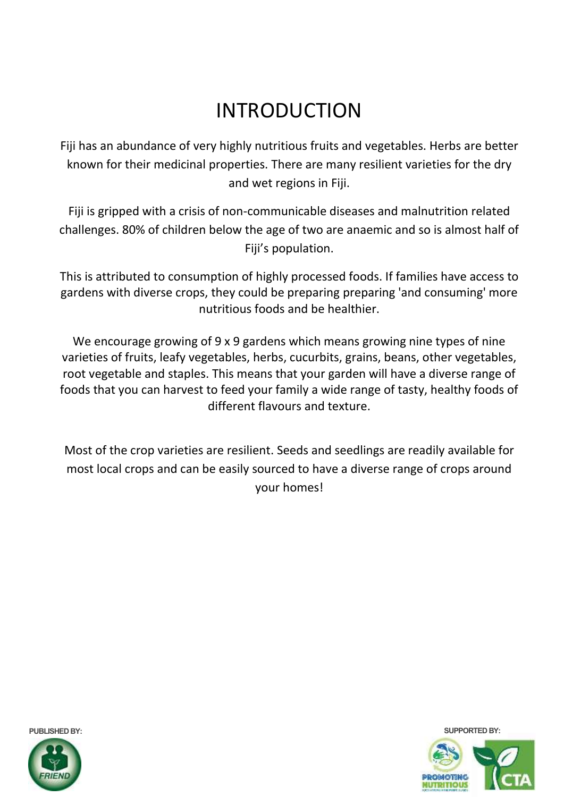# INTRODUCTION

Fiji has an abundance of very highly nutritious fruits and vegetables. Herbs are better known for their medicinal properties. There are many resilient varieties for the dry and wet regions in Fiji.

Fiji is gripped with a crisis of non-communicable diseases and malnutrition related challenges. 80% of children below the age of two are anaemic and so is almost half of Fiji's population.

This is attributed to consumption of highly processed foods. If families have access to gardens with diverse crops, they could be preparing preparing 'and consuming' more nutritious foods and be healthier.

We encourage growing of 9 x 9 gardens which means growing nine types of nine varieties of fruits, leafy vegetables, herbs, cucurbits, grains, beans, other vegetables, root vegetable and staples. This means that your garden will have a diverse range of foods that you can harvest to feed your family a wide range of tasty, healthy foods of different flavours and texture.

Most of the crop varieties are resilient. Seeds and seedlings are readily available for most local crops and can be easily sourced to have a diverse range of crops around your homes!



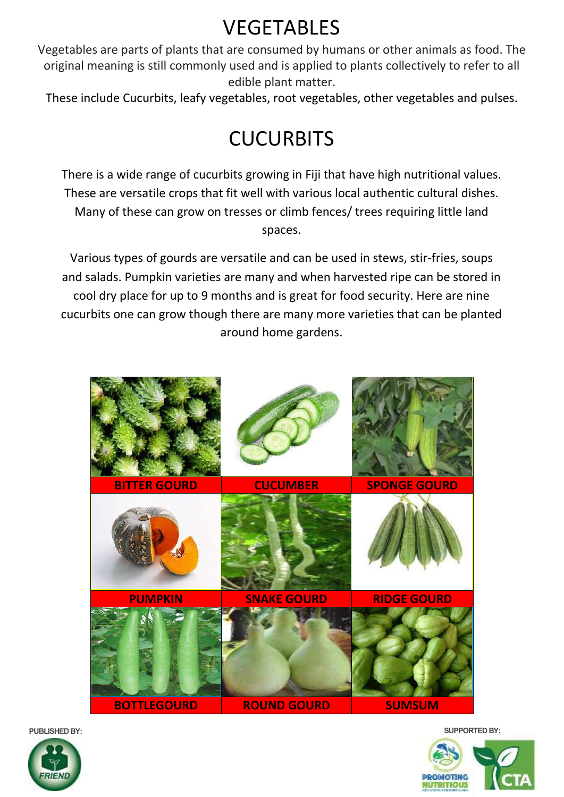# VEGETABLES

Vegetables are parts of plants that are consumed by humans or other animals as food. The original meaning is still commonly used and is applied to plants collectively to refer to all edible plant matter.

These include Cucurbits, leafy vegetables, root vegetables, other vegetables and pulses.

## **CUCURBITS**

There is a wide range of cucurbits growing in Fiji that have high nutritional values. These are versatile crops that fit well with various local authentic cultural dishes. Many of these can grow on tresses or climb fences/ trees requiring little land spaces.

Various types of gourds are versatile and can be used in stews, stir-fries, soups and salads. Pumpkin varieties are many and when harvested ripe can be stored in cool dry place for up to 9 months and is great for food security. Here are nine cucurbits one can grow though there are many more varieties that can be planted around home gardens.





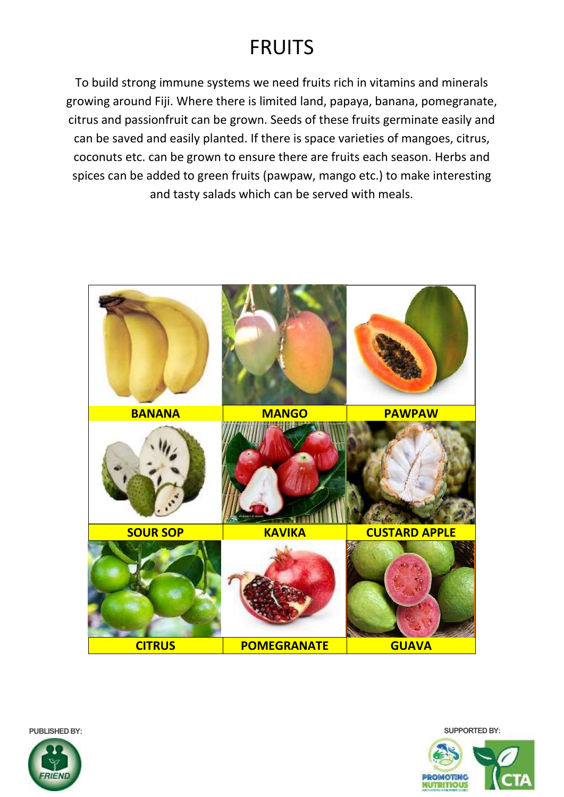#### FRUITS

To build strong immune systems we need fruits rich in vitamins and minerals growing around Fiji. Where there is limited land, papaya, banana, pomegranate, citrus and passionfruit can be grown. Seeds of these fruits germinate easily and can be saved and easily planted. If there is space varieties of mangoes, citrus, coconuts etc. can be grown to ensure there are fruits each season. Herbs and spices can be added to green fruits (pawpaw, mango etc.) to make interesting and tasty salads which can be served with meals.



**PUBLISHED BY: SUPPORTED BY:**



**PROMOTING MUTRITIOUS**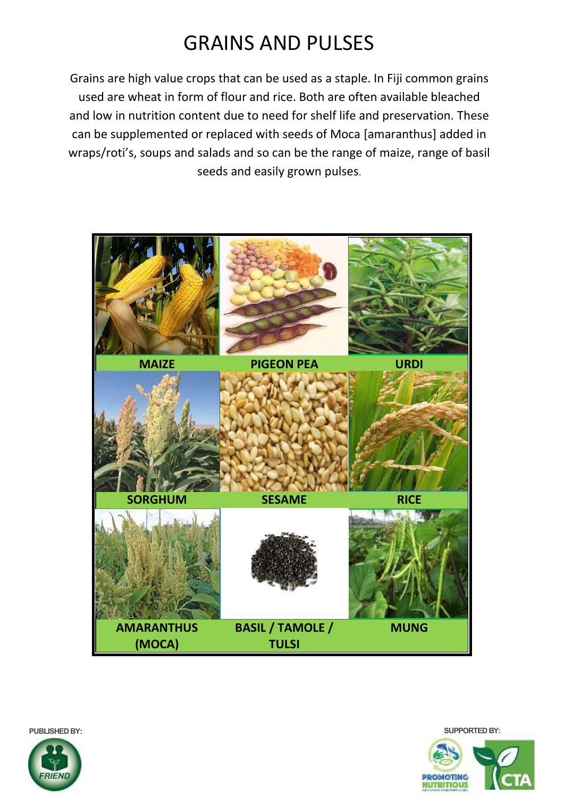#### GRAINS AND PULSES

Grains are high value crops that can be used as a staple. In Fiji common grains used are wheat in form of flour and rice. Both are often available bleached and low in nutrition content due to need for shelf life and preservation. These can be supplemented or replaced with seeds of Moca [amaranthus] added in wraps/roti's, soups and salads and so can be the range of maize, range of basil seeds and easily grown pulses.



**PUBLISHED BY: SUPPORTED BY:**



**PROMOTING MUTRITIOUS**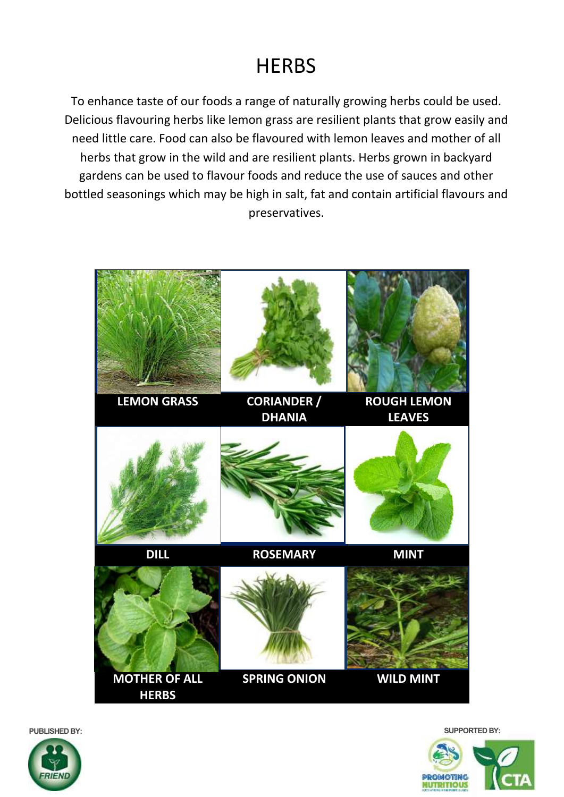#### **HERBS**

To enhance taste of our foods a range of naturally growing herbs could be used. Delicious flavouring herbs like lemon grass are resilient plants that grow easily and need little care. Food can also be flavoured with lemon leaves and mother of all herbs that grow in the wild and are resilient plants. Herbs grown in backyard gardens can be used to flavour foods and reduce the use of sauces and other bottled seasonings which may be high in salt, fat and contain artificial flavours and preservatives.



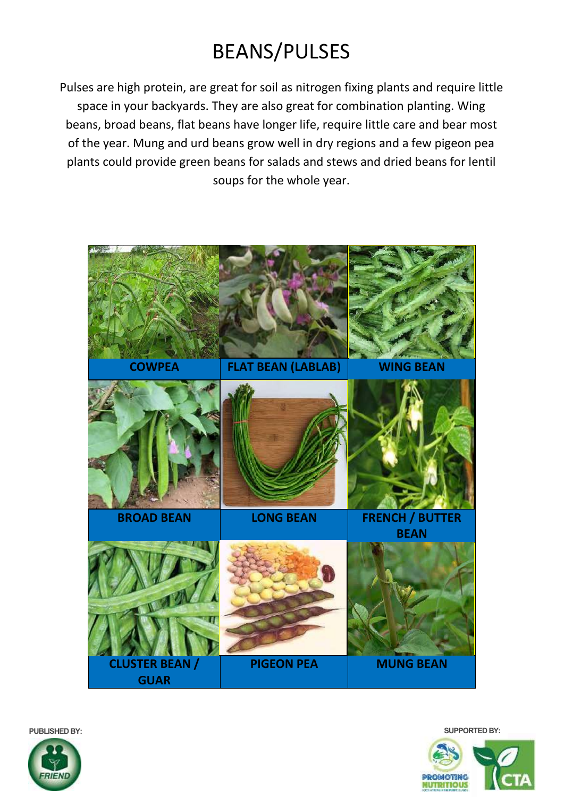# BEANS/PULSES

Pulses are high protein, are great for soil as nitrogen fixing plants and require little space in your backyards. They are also great for combination planting. Wing beans, broad beans, flat beans have longer life, require little care and bear most of the year. Mung and urd beans grow well in dry regions and a few pigeon pea plants could provide green beans for salads and stews and dried beans for lentil soups for the whole year.





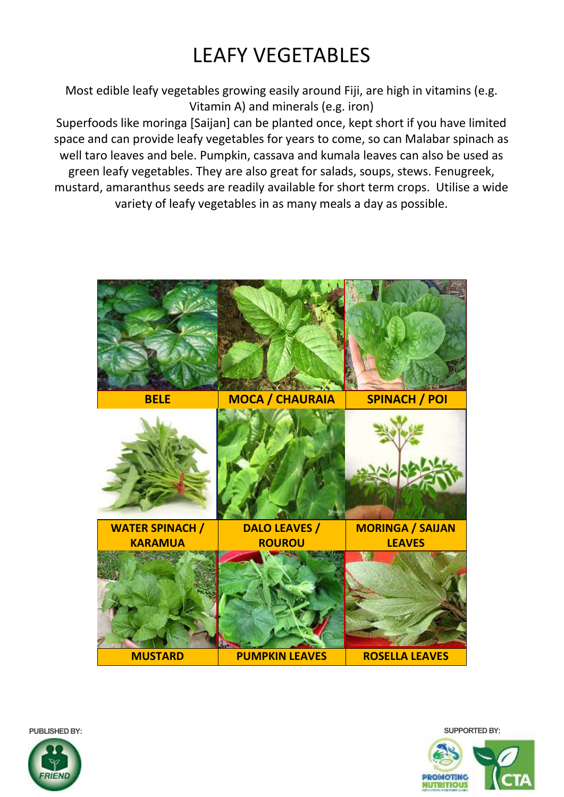## LEAFY VEGETABLES

Most edible leafy vegetables growing easily around Fiji, are high in vitamins (e.g. Vitamin A) and minerals (e.g. iron)

Superfoods like moringa [Saijan] can be planted once, kept short if you have limited space and can provide leafy vegetables for years to come, so can Malabar spinach as well taro leaves and bele. Pumpkin, cassava and kumala leaves can also be used as green leafy vegetables. They are also great for salads, soups, stews. Fenugreek, mustard, amaranthus seeds are readily available for short term crops. Utilise a wide variety of leafy vegetables in as many meals a day as possible.



**PUBLISHED BY: SUPPORTED BY:**



**PROMOTING MUTRITIOUS**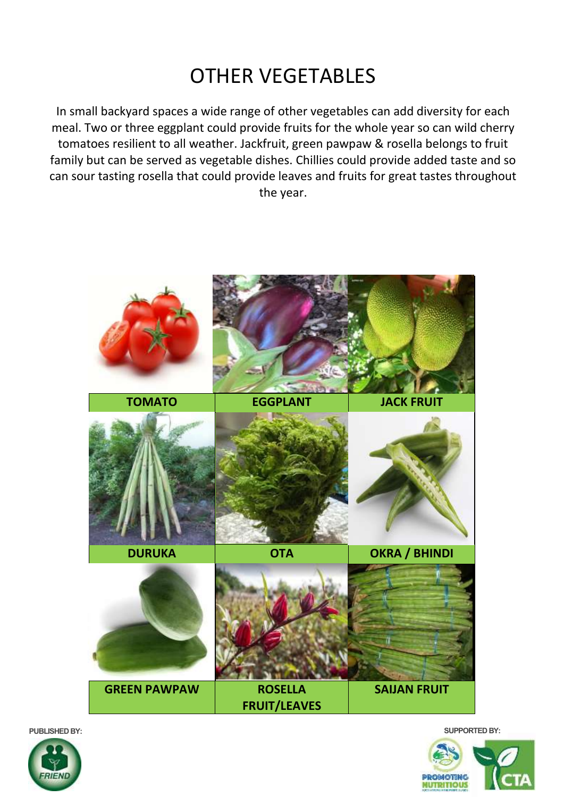## OTHER VEGETABLES

In small backyard spaces a wide range of other vegetables can add diversity for each meal. Two or three eggplant could provide fruits for the whole year so can wild cherry tomatoes resilient to all weather. Jackfruit, green pawpaw & rosella belongs to fruit family but can be served as vegetable dishes. Chillies could provide added taste and so can sour tasting rosella that could provide leaves and fruits for great tastes throughout the year.







**RIFA**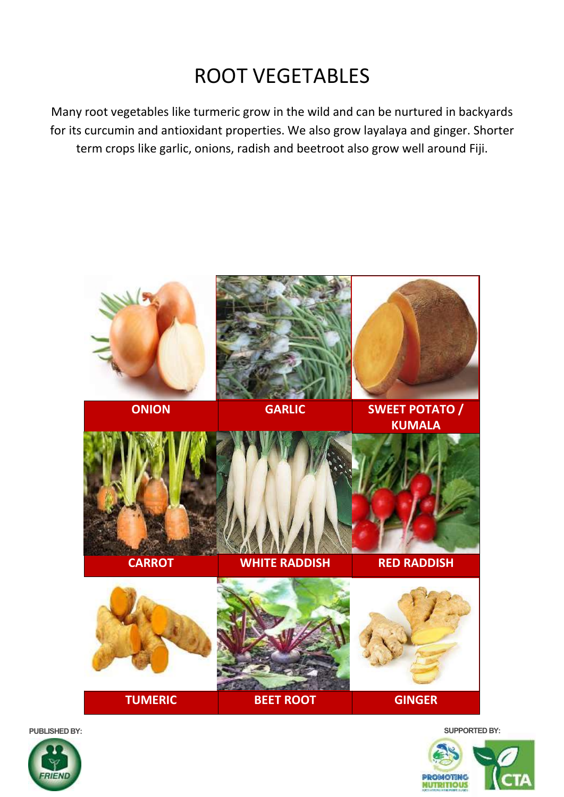#### ROOT VEGETABLES

Many root vegetables like turmeric grow in the wild and can be nurtured in backyards for its curcumin and antioxidant properties. We also grow layalaya and ginger. Shorter term crops like garlic, onions, radish and beetroot also grow well around Fiji.



RIEN

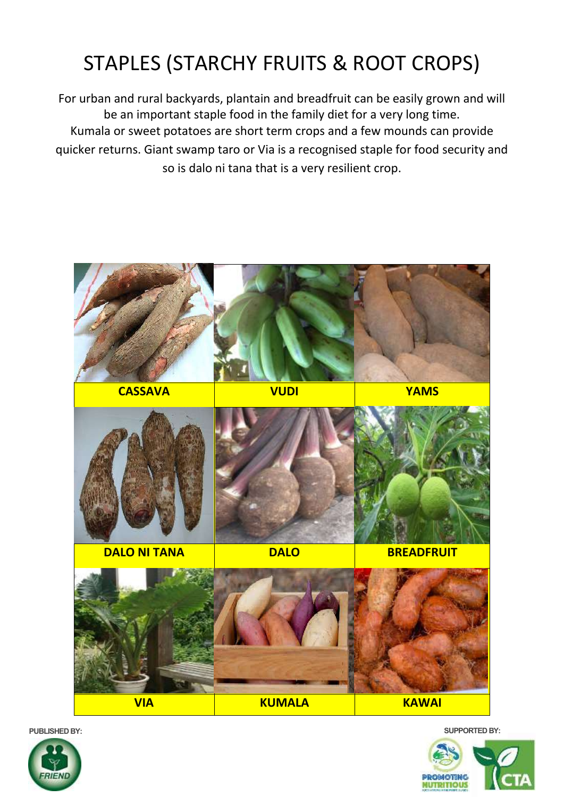# STAPLES (STARCHY FRUITS & ROOT CROPS)

For urban and rural backyards, plantain and breadfruit can be easily grown and will be an important staple food in the family diet for a very long time. Kumala or sweet potatoes are short term crops and a few mounds can provide quicker returns. Giant swamp taro or Via is a recognised staple for food security and so is dalo ni tana that is a very resilient crop.



RIFI